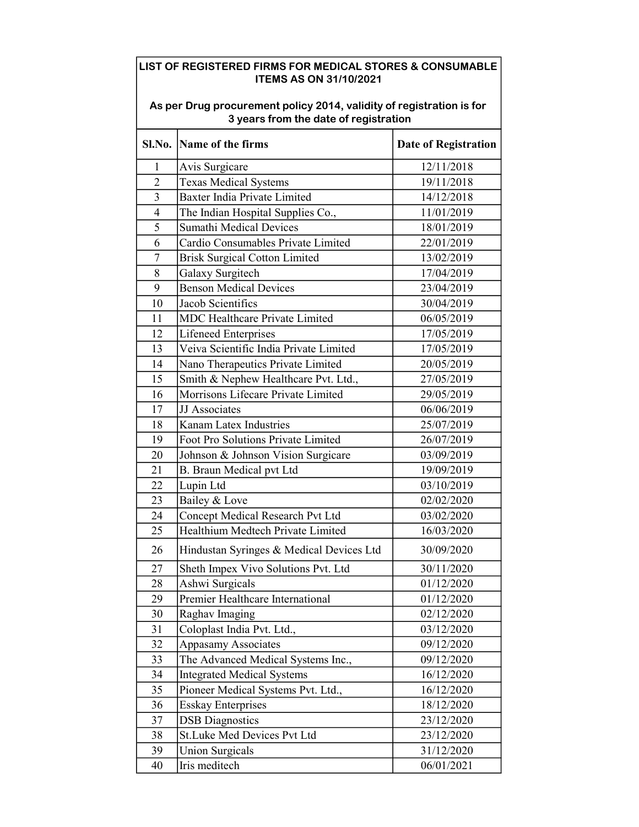## LIST OF REGISTERED FIRMS FOR MEDICAL STORES & CONSUMABLE ITEMS AS ON 31/10/2021

| As per Drug procurement policy 2014, validity of registration is for<br>3 years from the date of registration |                                          |                             |  |  |
|---------------------------------------------------------------------------------------------------------------|------------------------------------------|-----------------------------|--|--|
|                                                                                                               | Sl.No. Name of the firms                 | <b>Date of Registration</b> |  |  |
| $\mathbf{1}$                                                                                                  | Avis Surgicare                           | 12/11/2018                  |  |  |
| $\overline{2}$                                                                                                | <b>Texas Medical Systems</b>             | 19/11/2018                  |  |  |
| $\overline{3}$                                                                                                | Baxter India Private Limited             | 14/12/2018                  |  |  |
| $\overline{\mathbf{4}}$                                                                                       | The Indian Hospital Supplies Co.,        | 11/01/2019                  |  |  |
| 5                                                                                                             | <b>Sumathi Medical Devices</b>           | 18/01/2019                  |  |  |
| 6                                                                                                             | Cardio Consumables Private Limited       | 22/01/2019                  |  |  |
| $\overline{7}$                                                                                                | <b>Brisk Surgical Cotton Limited</b>     | 13/02/2019                  |  |  |
| 8                                                                                                             | Galaxy Surgitech                         | 17/04/2019                  |  |  |
| 9                                                                                                             | <b>Benson Medical Devices</b>            | 23/04/2019                  |  |  |
| 10                                                                                                            | Jacob Scientifics                        | 30/04/2019                  |  |  |
| 11                                                                                                            | MDC Healthcare Private Limited           | 06/05/2019                  |  |  |
| 12                                                                                                            | <b>Lifeneed Enterprises</b>              | 17/05/2019                  |  |  |
| 13                                                                                                            | Veiva Scientific India Private Limited   | 17/05/2019                  |  |  |
| 14                                                                                                            | Nano Therapeutics Private Limited        | 20/05/2019                  |  |  |
| 15                                                                                                            | Smith & Nephew Healthcare Pvt. Ltd.,     | 27/05/2019                  |  |  |
| 16                                                                                                            | Morrisons Lifecare Private Limited       | 29/05/2019                  |  |  |
| 17                                                                                                            | JJ Associates                            | 06/06/2019                  |  |  |
| 18                                                                                                            | Kanam Latex Industries                   | 25/07/2019                  |  |  |
| 19                                                                                                            | Foot Pro Solutions Private Limited       | 26/07/2019                  |  |  |
| 20                                                                                                            | Johnson & Johnson Vision Surgicare       | 03/09/2019                  |  |  |
| 21                                                                                                            | B. Braun Medical pvt Ltd                 | 19/09/2019                  |  |  |
| 22                                                                                                            | Lupin Ltd                                | 03/10/2019                  |  |  |
| 23                                                                                                            | Bailey & Love                            | 02/02/2020                  |  |  |
| 24                                                                                                            | Concept Medical Research Pvt Ltd         | 03/02/2020                  |  |  |
| 25                                                                                                            | Healthium Medtech Private Limited        | 16/03/2020                  |  |  |
| 26                                                                                                            | Hindustan Syringes & Medical Devices Ltd | 30/09/2020                  |  |  |
| 27                                                                                                            | Sheth Impex Vivo Solutions Pvt. Ltd      | 30/11/2020                  |  |  |
| 28                                                                                                            | Ashwi Surgicals                          | 01/12/2020                  |  |  |
| 29                                                                                                            | Premier Healthcare International         | 01/12/2020                  |  |  |
| 30                                                                                                            | Raghav Imaging                           | 02/12/2020                  |  |  |
| 31                                                                                                            | Coloplast India Pvt. Ltd.,               | 03/12/2020                  |  |  |
| 32                                                                                                            | <b>Appasamy Associates</b>               | 09/12/2020                  |  |  |
| 33                                                                                                            | The Advanced Medical Systems Inc.,       | 09/12/2020                  |  |  |
| 34                                                                                                            | <b>Integrated Medical Systems</b>        | 16/12/2020                  |  |  |
| 35                                                                                                            | Pioneer Medical Systems Pvt. Ltd.,       | 16/12/2020                  |  |  |
| 36                                                                                                            | <b>Esskay Enterprises</b>                | 18/12/2020                  |  |  |
| 37                                                                                                            | <b>DSB</b> Diagnostics                   | 23/12/2020                  |  |  |
| 38                                                                                                            | St.Luke Med Devices Pvt Ltd              | 23/12/2020                  |  |  |
| 39                                                                                                            | <b>Union Surgicals</b>                   | 31/12/2020                  |  |  |
| 40                                                                                                            | Iris meditech                            | 06/01/2021                  |  |  |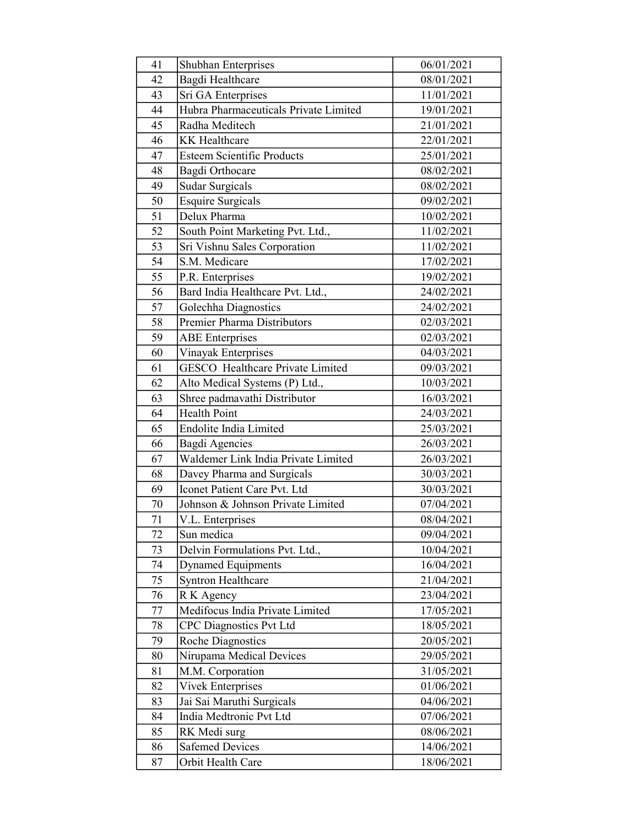| 41 | <b>Shubhan Enterprises</b>              | 06/01/2021 |
|----|-----------------------------------------|------------|
| 42 | Bagdi Healthcare                        | 08/01/2021 |
| 43 | Sri GA Enterprises                      | 11/01/2021 |
| 44 | Hubra Pharmaceuticals Private Limited   | 19/01/2021 |
| 45 | Radha Meditech                          | 21/01/2021 |
| 46 | <b>KK</b> Healthcare                    | 22/01/2021 |
| 47 | <b>Esteem Scientific Products</b>       | 25/01/2021 |
| 48 | Bagdi Orthocare                         | 08/02/2021 |
| 49 | Sudar Surgicals                         | 08/02/2021 |
| 50 | <b>Esquire Surgicals</b>                | 09/02/2021 |
| 51 | Delux Pharma                            | 10/02/2021 |
| 52 | South Point Marketing Pvt. Ltd.,        | 11/02/2021 |
| 53 | Sri Vishnu Sales Corporation            | 11/02/2021 |
| 54 | S.M. Medicare                           | 17/02/2021 |
| 55 | P.R. Enterprises                        | 19/02/2021 |
| 56 | Bard India Healthcare Pvt. Ltd.,        | 24/02/2021 |
| 57 | Golechha Diagnostics                    | 24/02/2021 |
| 58 | Premier Pharma Distributors             | 02/03/2021 |
| 59 | <b>ABE</b> Enterprises                  | 02/03/2021 |
| 60 | Vinayak Enterprises                     | 04/03/2021 |
| 61 | <b>GESCO</b> Healthcare Private Limited | 09/03/2021 |
| 62 | Alto Medical Systems (P) Ltd.,          | 10/03/2021 |
| 63 | Shree padmavathi Distributor            | 16/03/2021 |
| 64 | <b>Health Point</b>                     | 24/03/2021 |
| 65 | Endolite India Limited                  | 25/03/2021 |
| 66 | <b>Bagdi Agencies</b>                   | 26/03/2021 |
| 67 | Waldemer Link India Private Limited     | 26/03/2021 |
| 68 | Davey Pharma and Surgicals              | 30/03/2021 |
| 69 | Iconet Patient Care Pvt. Ltd            | 30/03/2021 |
| 70 | Johnson & Johnson Private Limited       | 07/04/2021 |
| 71 | V.L. Enterprises                        | 08/04/2021 |
| 72 | Sun medica                              | 09/04/2021 |
| 73 | Delvin Formulations Pvt. Ltd.,          | 10/04/2021 |
| 74 | <b>Dynamed Equipments</b>               | 16/04/2021 |
| 75 | <b>Syntron Healthcare</b>               | 21/04/2021 |
| 76 | R K Agency                              | 23/04/2021 |
| 77 | Medifocus India Private Limited         | 17/05/2021 |
| 78 | <b>CPC Diagnostics Pvt Ltd</b>          | 18/05/2021 |
| 79 | <b>Roche Diagnostics</b>                | 20/05/2021 |
| 80 | Nirupama Medical Devices                | 29/05/2021 |
| 81 | M.M. Corporation                        | 31/05/2021 |
| 82 | <b>Vivek Enterprises</b>                | 01/06/2021 |
| 83 | Jai Sai Maruthi Surgicals               | 04/06/2021 |
| 84 | India Medtronic Pvt Ltd                 | 07/06/2021 |
| 85 | RK Medi surg                            | 08/06/2021 |
| 86 | <b>Safemed Devices</b>                  | 14/06/2021 |
| 87 | Orbit Health Care                       | 18/06/2021 |